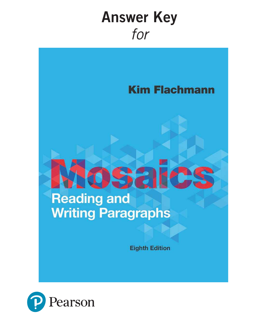# Answer Key *for*



**Eighth Edition** 

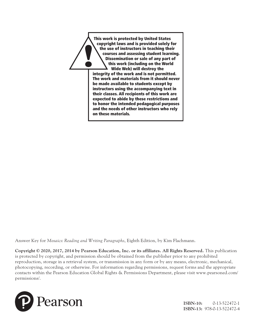This work is protected by United States copyright laws and is provided solely for the use of instructors in teaching their courses and assessing student learning. Dissemination or sale of any part of this work (including on the World Wide Web) will destroy the integrity of the work and is not permitted. The work and materials from it should never be made available to students except by instructors using the accompanying text in their classes. All recipients of this work are expected to abide by these restrictions and to honor the intended pedagogical purposes and the needs of other instructors who rely on these materials.

Answer Key for *Mosaics: Reading and Writing Paragraphs*, Eighth Edition, by Kim Flachmann.

**Copyright © 2020, 2017, 2014 by Pearson Education, Inc. or its affiliates. All Rights Reserved.** This publication is protected by copyright, and permission should be obtained from the publisher prior to any prohibited reproduction, storage in a retrieval system, or transmission in any form or by any means, electronic, mechanical, photocopying, recording, or otherwise. For information regarding permissions, request forms and the appropriate contacts within the Pearson Education Global Rights & Permissions Department, please visit www.pearsoned.com/ permissions/.



**ISBN-10:** 0-13-522472-1 **ISBN-13:** 978-0-13-522472-4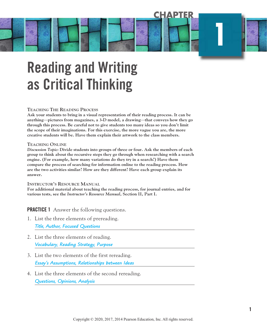

# Reading and Writing as Critical Thinking

## **Teaching The Reading Process**

**Ask your students to bring in a visual representation of their reading process. It can be anything—pictures from magazines, a 3-D model, a drawing—that conveys how they go through this process. Be careful not to give students too many ideas so you don't limit the scope of their imaginations. For this exercise, the more vague you are, the more creative students will be. Have them explain their artwork to the class members.**

## **Teaching Online**

*Discussion Topic:* **Divide students into groups of three or four. Ask the members of each group to think about the recursive steps they go through when researching with a search engine. (For example, how many variations do they try in a search?) Have them compare the process of searching for information online to the reading process. How are the two activities similar? How are they different? Have each group explain its answer.**

## **Instructor's Resource Manual**

**For additional material about teaching the reading process, for journal entries, and for various tests, see the** *Instructor's Resource Manual***, Section II, Part I.**

## **PRACTICE 1** Answer the following questions.

- 1. List the three elements of prereading. *Title, Author, Focused Questions*
- 2. List the three elements of reading. *Vocabulary, Reading Strategy, Purpose*
- 3. List the two elements of the first rereading. *Essay's Assumptions, Relationships between Ideas*
- 4. List the three elements of the second rereading. *Questions, Opinions, Analysis*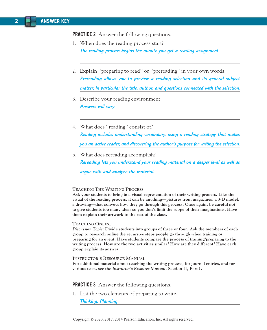**PRACTICE 2** Answer the following questions.

- 1. When does the reading process start? *The reading process begins the minute you get a reading assignment.*
- 2. Explain "preparing to read" or "prereading" in your own words. *Prereading allows you to preview a reading selection and its general subject matter, in particular the title, author, and questions connected with the selection.*
- 3. Describe your reading environment. *Answers will vary.*
- 4. What does "reading" consist of? *Reading includes understanding vocabulary, using a reading strategy that makes you an active reader, and discovering the author's purpose for writing the selection.*
- 5. What does rereading accomplish? *Rereading lets you understand your reading material on a deeper level as well as argue with and analyze the material.*

### **Teaching The Writing Process**

**Ask your students to bring in a visual representation of their writing process. Like the visual of the reading process, it can be anything—pictures from magazines, a 3-D model, a drawing—that conveys how they go through this process. Once again, be careful not to give students too many ideas so you don't limit the scope of their imaginations. Have them explain their artwork to the rest of the class.**

### **Teaching Online**

*Discussion Topic***: Divide students into groups of three or four. Ask the members of each group to research online the recursive steps people go through when training or preparing for an event. Have students compare the process of training/preparing to the writing process. How are the two activities similar? How are they different? Have each group explain its answer.**

#### **Instructor's Resource Manual**

**For additional material about teaching the writing process, for journal entries, and for various tests, see the** *Instructor's Resource Manual***, Section II, Part I.**

**PRACTICE 3** Answer the following questions.

1. List the two elements of preparing to write.

*Thinking, Planning*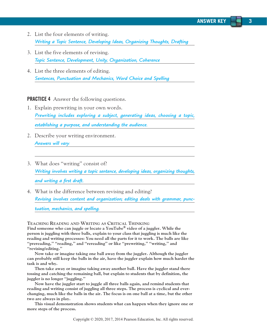- 2. List the four elements of writing. *Writing a Topic Sentence, Developing Ideas, Organizing Thoughts, Drafting*
- 3. List the five elements of revising. *Topic Sentence, Development, Unity, Organization, Coherence*
- 4. List the three elements of editing. *Sentences, Punctuation and Mechanics, Word Choice and Spelling*

**PRACTICE 4** Answer the following questions.

- 1. Explain prewriting in your own words. *Prewriting includes exploring a subject, generating ideas, choosing a topic, establishing a purpose, and understanding the audience.*
- 2. Describe your writing environment. *Answers will vary.*
- 3. What does "writing" consist of? *Writing involves writing a topic sentence, developing ideas, organizing thoughts, and writing a first draft.*
- 4. What is the difference between revising and editing? *Revising involves content and organization; editing deals with grammar, punc-*

*tuation, mechanics, and spelling.*

**Teaching Reading and Writing as Critical Thinking**

**Find someone who can juggle or locate a YouTube® video of a juggler. While the person is juggling with three balls, explain to your class that juggling is much like the reading and writing processes: You need all the parts for it to work. The balls are like "prereading," "reading," and "rereading" or like "prewriting," "writing," and "revising/editing."**

**Now take or imagine taking one ball away from the juggler. Although the juggler can probably still keep the balls in the air, have the juggler explain how much harder the task is and why.**

**Then take away or imagine taking away another ball. Have the juggler stand there tossing and catching the remaining ball, but explain to students that by definition, the juggler is no longer "juggling."**

**Now have the juggler start to juggle all three balls again, and remind students that reading and writing consist of juggling all three steps. The process is cyclical and everchanging, much like the balls in the air. The focus is on one ball at a time, but the other two are always in play.**

**This visual demonstration shows students what can happen when they ignore one or more steps of the process.**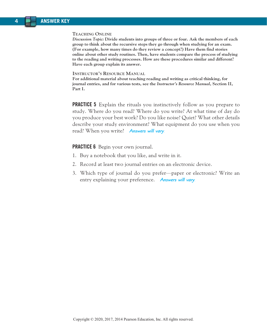#### **Teaching Online**

*Discussion Topic:* **Divide students into groups of three or four. Ask the members of each group to think about the recursive steps they go through when studying for an exam. (For example, how many times do they review a concept?) Have them find stories online about other study routines. Then, have students compare the process of studying to the reading and writing processes. How are these procedures similar and different? Have each group explain its answer.**

#### **Instructor's Resource Manual**

**For additional material about teaching reading and writing as critical thinking, for journal entries, and for various tests, see the** *Instructor's Resource Manual***, Section II, Part I.**

**PRACTICE 5** Explain the rituals you instinctively follow as you prepare to study. Where do you read? Where do you write? At what time of day do you produce your best work? Do you like noise? Quiet? What other details describe your study environment? What equipment do you use when you read? When you write? *Answers will vary.*

PRACTICE 6 Begin your own journal.

- 1. Buy a notebook that you like, and write in it.
- 2. Record at least two journal entries on an electronic device.
- 3. Which type of journal do you prefer—paper or electronic? Write an entry explaining your preference. *Answers will vary*.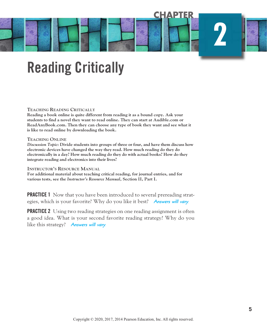# Reading Critically

## **Teaching Reading Critically**

**Reading a book online is quite different from reading it as a bound copy. Ask your students to find a novel they want to read online. They can start at Audible.com or ReadAnyBook.com. Then they can choose any type of book they want and see what it is like to read online by downloading the book.**

**CHAPTER** 

**2**

#### **Teaching Online**

*Discussion Topic***: Divide students into groups of three or four, and have them discuss how electronic devices have changed the way they read. How much reading do they do electronically in a day? How much reading do they do with actual books? How do they integrate reading and electronics into their lives?**

#### **Instructor's Resource Manual**

**For additional material about teaching critical reading, for journal entries, and for various tests, see the** *Instructor's Resource Manual***, Section II, Part I.**

**PRACTICE 1** Now that you have been introduced to several prereading strategies, which is your favorite? Why do you like it best? *Answers will vary.*

**PRACTICE 2** Using two reading strategies on one reading assignment is often a good idea. What is your second favorite reading strategy? Why do you like this strategy? *Answers will vary.*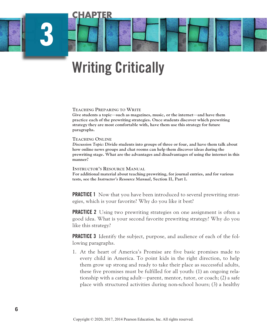

## Writing Critically

### **Teaching Preparing to Write**

**Give students a topic—such as magazines, music, or the internet—and have them practice each of the prewriting strategies. Once students discover which prewriting strategy they are most comfortable with, have them use this strategy for future paragraphs.**

#### **Teaching Online**

*Discussion Topic:* **Divide students into groups of three or four, and have them talk about how online news groups and chat rooms can help them discover ideas during the prewriting stage. What are the advantages and disadvantages of using the internet in this manner?**

#### **Instructor's Resource Manual**

**For additional material about teaching prewriting, for journal entries, and for various tests, see the** *Instructor's Resource Manual***, Section II, Part I.**

**PRACTICE 1** Now that you have been introduced to several prewriting strategies, which is your favorite? Why do you like it best?

**PRACTICE 2** Using two prewriting strategies on one assignment is often a good idea. What is your second favorite prewriting strategy? Why do you like this strategy?

**PRACTICE 3** Identify the subject, purpose, and audience of each of the following paragraphs.

1. At the heart of America's Promise are five basic promises made to every child in America. To point kids in the right direction, to help them grow up strong and ready to take their place as successful adults, these five promises must be fulfilled for all youth: (1) an ongoing relationship with a caring adult—parent, mentor, tutor, or coach; (2) a safe place with structured activities during non-school hours; (3) a healthy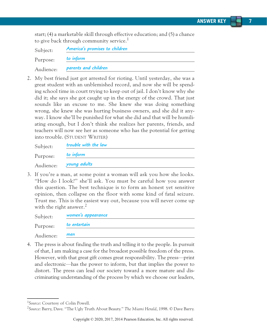start; (4) a marketable skill through effective education; and (5) a chance to give back through community service.<sup>1</sup>

| Subject:  | America's promises to children |
|-----------|--------------------------------|
| Purpose:  | to inform                      |
| Audience: | parents and children           |

2. My best friend just got arrested for rioting. Until yesterday, she was a great student with an unblemished record, and now she will be spending school time in court trying to keep out of jail. I don't know why she did it; she says she got caught up in the energy of the crowd. That just sounds like an excuse to me. She knew she was doing something wrong, she knew she was hurting business owners, and she did it anyway. I know she'll be punished for what she did and that will be humiliating enough, but I don't think she realizes her parents, friends, and teachers will now see her as someone who has the potential for getting into trouble. (STUDENT WRITER)

| Subject:  | trouble with the law |
|-----------|----------------------|
| Purpose:  | to inform            |
| Audience: | young adults         |

3. If you're a man, at some point a woman will ask you how she looks. "How do I look?" she'll ask. You must be careful how you answer this question. The best technique is to form an honest yet sensitive opinion, then collapse on the floor with some kind of fatal seizure. Trust me. This is the easiest way out, because you will never come up with the right answer.<sup>2</sup>

| Subject:  | women's appearance |
|-----------|--------------------|
| Purpose:  | to entertain       |
| Audience: | men                |

4. The press is about finding the truth and telling it to the people. In pursuit of that, I am making a case for the broadest possible freedom of the press. However, with that great gift comes great responsibility. The press—print and electronic—has the power to inform, but that implies the power to distort. The press can lead our society toward a more mature and discriminating understanding of the process by which we choose our leaders,

<sup>&</sup>lt;sup>1</sup>Source: Courtesy of Colin Powell.

<sup>2</sup> *Source:* Barry, Dave. "The Ugly Truth About Beauty." *The Miami Herald*, 1998. © Dave Barry.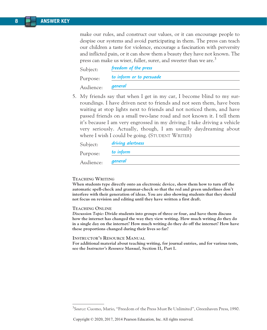make our rules, and construct our values, or it can encourage people to despise our systems and avoid participating in them. The press can teach our children a taste for violence, encourage a fascination with perversity and inflicted pain, or it can show them a beauty they have not known. The press can make us wiser, fuller, surer, and sweeter than we are.<sup>3</sup>

Subject: Purpose: Audience: *freedom of the press to inform or to persuade general*

5. My friends say that when I get in my car, I become blind to my surroundings. I have driven next to friends and not seen them, have been waiting at stop lights next to friends and not noticed them, and have passed friends on a small two-lane road and not known it. I tell them it's because I am very engrossed in my driving; I take driving a vehicle very seriously. Actually, though, I am usually daydreaming about where I wish I could be going. (STUDENT WRITER)

| Subject:  | driving alertness |
|-----------|-------------------|
| Purpose:  | to inform         |
| Audience: | general           |

## **Teaching Writing**

**When students type directly onto an electronic device, show them how to turn off the automatic spell-check and grammar-check so that the red and green underlines don't interfere with their generation of ideas. You are also showing students that they should not focus on revision and editing until they have written a first draft.**

#### **Teaching Online**

*Discussion Topic:* **Divide students into groups of three or four, and have them discuss how the internet has changed the way they view writing. How much writing do they do in a single day on the internet? How much writing do they do off the internet? How have these proportions changed during their lives so far?**

## **Instructor's Resource Manual**

**For additional material about teaching writing, for journal entries, and for various tests, see the** *Instructor's Resource Manual***, Section II, Part I.**

<sup>3</sup> *Source:* Cuomo, Mario, "Freedom of the Press Must Be Unlimited", Greenhaven Press, 1990.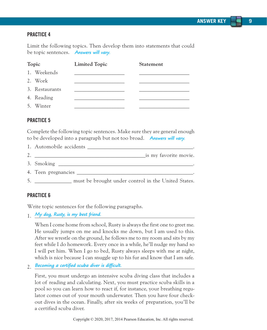## PRACTICE 4

Limit the following topics. Then develop them into statements that could be topic sentences. *Answers will vary.*

| Topic          | Limited Topic | <b>Statement</b> |
|----------------|---------------|------------------|
| 1. Weekends    |               |                  |
| 2. Work        |               |                  |
| 3. Restaurants |               |                  |
| 4. Reading     |               |                  |
| 5. Winter      |               |                  |

## PRACTICE 5

Complete the following topic sentences. Make sure they are general enough to be developed into a paragraph but not too broad. *Answers will vary.*

- 1. Automobile accidents \_\_\_\_\_\_\_\_\_\_\_\_\_\_\_\_\_\_\_\_\_\_\_\_\_\_\_\_\_\_\_\_\_\_\_\_\_\_\_\_. 2. \_\_\_\_\_\_\_\_\_\_\_\_\_\_\_\_\_\_\_\_\_\_\_\_\_\_\_\_\_\_\_\_\_\_\_\_\_\_\_\_\_\_is my favorite movie. 3. Smoking \_\_\_\_\_\_\_\_\_\_\_\_\_\_\_\_\_\_\_\_\_\_\_\_\_\_\_\_\_\_\_\_\_\_\_\_\_\_\_\_\_\_\_\_\_\_\_\_\_\_\_. 4. Teen pregnancies \_\_\_\_\_\_\_\_\_\_\_\_\_\_\_\_\_\_\_\_\_\_\_\_\_\_\_\_\_\_\_\_\_\_\_\_\_\_\_\_\_\_\_\_.
- 5. \_\_\_\_\_\_\_\_\_\_\_\_ must be brought under control in the United States.

## PRACTICE 6

Write topic sentences for the following paragraphs.

1. *My dog, Rusty, is my best friend.*

When I come home from school, Rusty is always the first one to greet me. He usually jumps on me and knocks me down, but I am used to this. After we wrestle on the ground, he follows me to my room and sits by my feet while I do homework. Every once in a while, he'll nudge my hand so I will pet him. When I go to bed, Rusty always sleeps with me at night, which is nice because I can snuggle up to his fur and know that I am safe.

2. *Becoming a certified scuba diver is difficult.*

First, you must undergo an intensive scuba diving class that includes a lot of reading and calculating. Next, you must practice scuba skills in a pool so you can learn how to react if, for instance, your breathing regulator comes out of your mouth underwater. Then you have four checkout dives in the ocean. Finally, after six weeks of preparation, you'll be a certified scuba diver.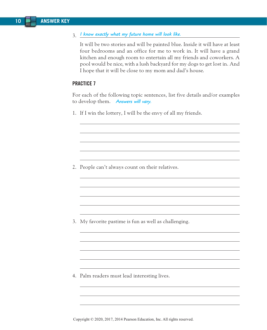3. *I know exactly what my future home will look like.*

It will be two stories and will be painted blue. Inside it will have at least four bedrooms and an office for me to work in. It will have a grand kitchen and enough room to entertain all my friends and coworkers. A pool would be nice, with a lush backyard for my dogs to get lost in. And I hope that it will be close to my mom and dad's house.

## PRACTICE 7

For each of the following topic sentences, list five details and/or examples to develop them. *Answers will vary.*

1. If I win the lottery, I will be the envy of all my friends.

2. People can't always count on their relatives.

3. My favorite pastime is fun as well as challenging.

4. Palm readers must lead interesting lives.

Copyright © 2020, 2017, 2014 Pearson Education, Inc. All rights reserved.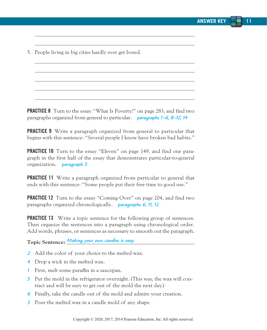5. People living in big cities hardly ever get bored.

**PRACTICE 8** Turn to the essay "What Is Poverty?" on page 283, and find two paragraphs organized from general to particular. *paragraphs 1–6, 8–12, 14*

**PRACTICE 9** Write a paragraph organized from general to particular that begins with this sentence: "Several people I know have broken bad habits."

**PRACTICE 10** Turn to the essay "Eleven" on page 149, and find one paragraph in the first half of the essay that demonstrates particular-to-general organization. *paragraph 3*

**PRACTICE 11** Write a paragraph organized from particular to general that ends with this sentence: "Some people put their free time to good use."

**PRACTICE 12** Turn to the essay "Coming Over" on page 204, and find two paragraphs organized chronologically. *paragraphs 6, 11, 12*

**PRACTICE 13** Write a topic sentence for the following group of sentences. Then organize the sentences into a paragraph using chronological order. Add words, phrases, or sentences as necessary to smooth out the paragraph.

**Topic Sentence:**  *Making your own candles is easy.*

- *2* Add the color of your choice to the melted wax.
- *4* Drop a wick in the melted wax.
- *1* First, melt some paraffin in a saucepan.
- *5* Put the mold in the refrigerator overnight. (This way, the wax will contract and will be easy to get out of the mold the next day.)
- *6* Finally, take the candle out of the mold and admire your creation.
- *3* Pour the melted wax in a candle mold of any shape.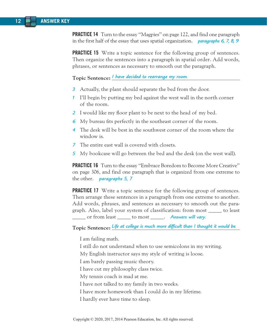**PRACTICE 14** Turn to the essay "Magpies" on page 122, and find one paragraph in the first half of the essay that uses spatial organization. *paragraphs 6, 7, 8, 9*

**PRACTICE 15** Write a topic sentence for the following group of sentences. Then organize the sentences into a paragraph in spatial order. Add words, phrases, or sentences as necessary to smooth out the paragraph.

**Topic Sentence:**  *I have decided to rearrange my room.*

- *3* Actually, the plant should separate the bed from the door.
- *1* I'll begin by putting my bed against the west wall in the north corner of the room.
- *2* I would like my floor plant to be next to the head of my bed.
- *6* My bureau fits perfectly in the southeast corner of the room.
- *4* The desk will be best in the southwest corner of the room where the window is.
- *7* The entire east wall is covered with closets.
- *5* My bookcase will go between the bed and the desk (on the west wall).

**PRACTICE 16** Turn to the essay "Embrace Boredom to Become More Creative" on page 306, and find one paragraph that is organized from one extreme to the other. *paragraphs 5, 7*

**PRACTICE 17** Write a topic sentence for the following group of sentences. Then arrange these sentences in a paragraph from one extreme to another. Add words, phrases, and sentences as necessary to smooth out the paragraph. Also, label your system of classification: from most \_\_\_\_\_ to least \_\_\_\_\_ or from least \_\_\_\_\_ to most \_\_\_\_\_. *Answers will vary.*

## **Topic Sentence:**  *Life at college is much more difficult than I thought it would be.*

I am failing math.

I still do not understand when to use semicolons in my writing.

My English instructor says my style of writing is loose.

I am barely passing music theory.

I have cut my philosophy class twice.

My tennis coach is mad at me.

I have not talked to my family in two weeks.

I have more homework than I could do in my lifetime.

I hardly ever have time to sleep.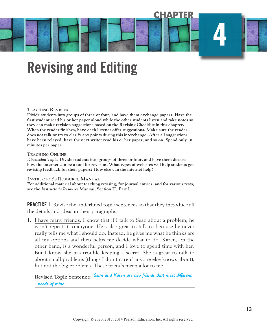

# Revising and Editing

## **Teaching Revising**

**Divide students into groups of three or four, and have them exchange papers. Have the first student read his or her paper aloud while the other students listen and take notes so they can make revision suggestions based on the Revising Checklist in this chapter. When the reader finishes, have each listener offer suggestions. Make sure the reader does not talk or try to clarify any points during this interchange. After all suggestions have been relayed, have the next writer read his or her paper, and so on. Spend only 10 minutes per paper.**

## **Teaching Online**

*Discussion Topic:* **Divide students into groups of three or four, and have them discuss how the internet can be a tool for revision. What types of websites will help students get revising feedback for their papers? How else can the internet help?**

## **Instructor's Resource Manual**

**For additional material about teaching revising, for journal entries, and for various tests, see the** *Instructor's Resource Manual***, Section II, Part I.**

**PRACTICE 1** Revise the underlined topic sentences so that they introduce all the details and ideas in their paragraphs.

1. I have many friends. I know that if I talk to Sean about a problem, he won't repeat it to anyone. He's also great to talk to because he never really tells me what I should do. Instead, he gives me what he thinks are all my options and then helps me decide what to do. Karen, on the other hand, is a wonderful person, and I love to spend time with her. But I know she has trouble keeping a secret. She is great to talk to about small problems (things I don't care if anyone else knows about), but not the big problems. These friends mean a lot to me.

**Revised Topic Sentence**: *Sean and Karen are two friends that meet different needs of mine.*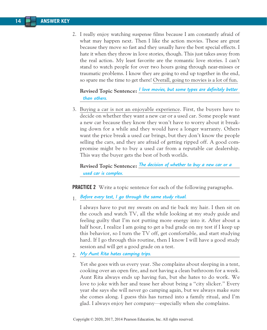2. I really enjoy watching suspense films because I am constantly afraid of what may happen next. Then I like the action movies. These are great because they move so fast and they usually have the best special effects. I hate it when they throw in love stories, though. This just takes away from the real action. My least favorite are the romantic love stories. I can't stand to watch people for over two hours going through near-misses or traumatic problems. I know they are going to end up together in the end, so spare me the time to get there! Overall, going to movies is a lot of fun.

**Revised Topic Sentence:** *I love movies, but some types are definitely better than others.*

3. Buying a car is not an enjoyable experience. First, the buyers have to decide on whether they want a new car or a used car. Some people want a new car because they know they won't have to worry about it breaking down for a while and they would have a longer warranty. Others want the price break a used car brings, but they don't know the people selling the cars, and they are afraid of getting ripped off. A good compromise might be to buy a used car from a reputable car dealership. This way the buyer gets the best of both worlds.

**Revised Topic Sentence:** *The decision of whether to buy a new car or a used car is complex.*

**PRACTICE 2** Write a topic sentence for each of the following paragraphs.

1. *Before every test, I go through the same study ritual.*

I always have to put my sweats on and tie back my hair. I then sit on the couch and watch TV, all the while looking at my study guide and feeling guilty that I'm not putting more energy into it. After about a half hour, I realize I am going to get a bad grade on my test if I keep up this behavior, so I turn the TV off, get comfortable, and start studying hard. If I go through this routine, then I know I will have a good study session and will get a good grade on a test.

2. *My Aunt Rita hates camping trips.*

Yet she goes with us every year. She complains about sleeping in a tent, cooking over an open fire, and not having a clean bathroom for a week. Aunt Rita always ends up having fun, but she hates to do work. We love to joke with her and tease her about being a "city slicker." Every year she says she will never go camping again, but we always make sure she comes along. I guess this has turned into a family ritual, and I'm glad. I always enjoy her company—especially when she complains.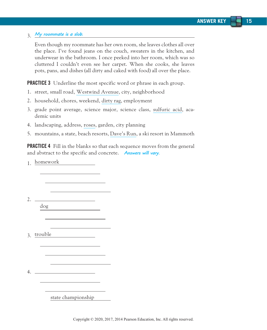## 3. *My roommate is a slob.*

Even though my roommate has her own room, she leaves clothes all over the place. I've found jeans on the couch, sweaters in the kitchen, and underwear in the bathroom. I once peeked into her room, which was so cluttered I couldn't even see her carpet. When she cooks, she leaves pots, pans, and dishes (all dirty and caked with food) all over the place.

**PRACTICE 3** Underline the most specific word or phrase in each group.

- 1. street, small road, Westwind Avenue, city, neighborhood
- 2. household, chores, weekend, dirty rag, employment
- 3. grade point average, science major, science class, sulfuric acid, academic units
- 4. landscaping, address, roses, garden, city planning
- 5. mountains, a state, beach resorts, Dave's Run, a ski resort in Mammoth

**PRACTICE 4** Fill in the blanks so that each sequence moves from the general and abstract to the specific and concrete. *Answers will vary.*

1. homework

 $2.$ 3. trouble 4. dog

state championship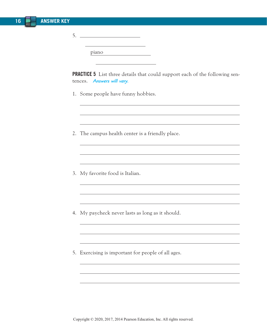| 16 | <b>ANSWER KEY</b> |                                                                                                                  |
|----|-------------------|------------------------------------------------------------------------------------------------------------------|
|    |                   |                                                                                                                  |
|    |                   | piano piano piano piano piano piano piano piano piano piano piano piano piano piano piano piano piano piano pia  |
|    |                   | <b>PRACTICE 5</b> List three details that could support each of the following sen-<br>tences. Answers will vary. |
|    |                   | 1. Some people have funny hobbies.                                                                               |
|    |                   |                                                                                                                  |
|    |                   | 2. The campus health center is a friendly place.                                                                 |
|    |                   |                                                                                                                  |
|    |                   | 3. My favorite food is Italian.                                                                                  |
|    |                   |                                                                                                                  |
|    |                   | 4. My paycheck never lasts as long as it should.                                                                 |
|    |                   | 5. Exercising is important for people of all ages.                                                               |
|    |                   |                                                                                                                  |
|    |                   |                                                                                                                  |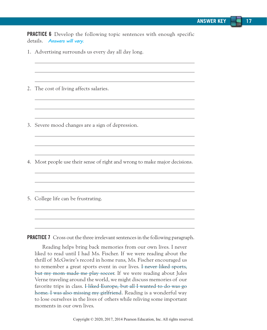**PRACTICE 6** Develop the following topic sentences with enough specific details. *Answers will vary.*

1. Advertising surrounds us every day all day long.

2. The cost of living affects salaries.

- 3. Severe mood changes are a sign of depression.
- 4. Most people use their sense of right and wrong to make major decisions.

5. College life can be frustrating.

PRACTICE 7 Cross out the three irrelevant sentences in the following paragraph.

Reading helps bring back memories from our own lives. I never liked to read until I had Ms. Fischer. If we were reading about the thrill of McGwire's record in home runs, Ms. Fischer encouraged us to remember a great sports event in our lives. I never liked sports, but my mom made me play soccer. If we were reading about Jules Verne traveling around the world, we might discuss memories of our favorite trips in class. Hiked Europe, but all I wanted to do was go home. I was also missing my girlfriend. Reading is a wonderful way to lose ourselves in the lives of others while reliving some important moments in our own lives.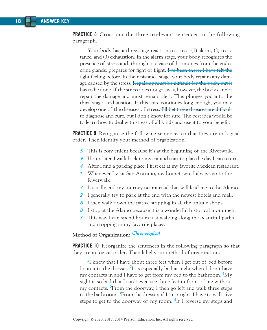PRACTICE 8 Cross out the three irrelevant sentences in the following paragraph.

Your body has a three-stage reaction to stress: (1) alarm, (2) resistance, and (3) exhaustion. In the alarm stage, your body recognizes the presence of stress and, through a release of hormones from the endocrine glands, prepares for fight or flight. I've been there; I have felt the fight feeling before. In the resistance stage, your body repairs any damage caused by the stress. Repairing must be difficult for the body, but it has to be done. If the stress does not go away, however, the body cannot repair the damage and must remain alert. This plunges you into the third stage—exhaustion. If this state continues long enough, you may develop one of the diseases of stress. I'll bet these diseases are difficult to diagnose and cure, but I don't know for sure. The best idea would be to learn how to deal with stress of all kinds and use it to your benefit.

**PRACTICE 9** Reorganize the following sentences so that they are in logical order. Then identify your method of organization.

- *5* This is convenient because it's at the beginning of the Riverwalk.
- *9* Hours later, I walk back to my car and start to plan the day I can return.
- *4* After I find a parking place, I first eat at my favorite Mexican restaurant.
- *1* Whenever I visit San Antonio, my hometown, I always go to the Riverwalk.
- *7* I usually end my journey near a road that will lead me to the Alamo.
- *2* I generally try to park at the end with the newest hotels and mall.
- *6* I then walk down the paths, stopping in all the unique shops.
- *8* I stop at the Alamo because it is a wonderful historical monument.
- *3* This way I can spend hours just walking along the beautiful paths and stopping in my favorite places.

## **Method of Organization:** \_\_\_\_\_\_\_\_\_\_\_\_\_\_\_\_\_\_\_\_\_\_\_\_\_\_\_\_\_\_\_\_ *Chronological*

**PRACTICE 10** Reorganize the sentences in the following paragraph so that they are in logical order. Then label your method of organization.

*3* I know that I have about three feet when I get out of bed before I run into the dresser. <sup>2</sup>It is especially bad at night when I don't have my contacts in and I have to get from my bed to the bathroom. *<sup>1</sup>* My sight is so bad that I can't even see three feet in front of me without my contacts. *<sup>5</sup>* From the doorway, I then go left and walk three steps to the bathroom. *<sup>4</sup>* From the dresser, if I turn right, I have to walk five steps to get to the doorway of my room. *6*If I reverse my steps and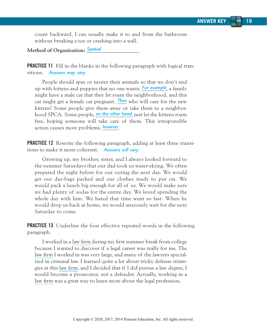count backward, I can usually make it to and from the bathroom without breaking a toe or crashing into a wall.

**Method of Organization:** \_\_\_\_\_\_\_\_\_\_\_\_\_\_\_\_\_\_\_\_ *Spatial* 

**PRACTICE 11** Fill in the blanks in the following paragraph with logical transitions. *Answers may vary.*

People should spay or neuter their animals so that we don't end up with kittens and puppies that no one wants. *For example*, a family might have a male cat that they let roam the neighborhood, and this cat might get a female cat pregnant. *Then* who will care for the new kittens? Some people give them away or take them to a neighborhood SPCA. Some people, *on the other hand*, just let the kittens roam free, hoping someone will take care of them. This irresponsible action causes more problems, *however*.

**PRACTICE 12** Rewrite the following paragraph, adding at least three transitions to make it more coherent. *Answers will vary.*

Growing up, my brother, sister, and I always looked forward to the summer Saturdays that our dad took us water-skiing. We often prepared the night before for our outing the next day. We would get our day-bags packed and our clothes ready to put on. We would pack a lunch big enough for all of us. We would make sure we had plenty of sodas for the entire day. We loved spending the whole day with him. We hated that time went so fast. When he would drop us back at home, we would anxiously wait for the next Saturday to come.

**PRACTICE 13** Underline the four effective repeated words in the following paragraph.

I worked in a law firm during my first summer break from college because I wanted to discover if a legal career was really for me. The law firm I worked in was very large, and many of the lawyers specialized in criminal law. I learned quite a lot about tricky defense strategies at this law firm, and I decided that if I did pursue a law degree, I would become a prosecutor, not a defender. Actually, working in a law firm was a great way to learn more about the legal profession.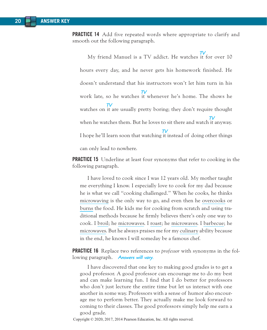**PRACTICE 14** Add five repeated words where appropriate to clarify and smooth out the following paragraph.

My friend Manuel is a TV addict. He watches it for over 10 *TV* hours every day, and he never gets his homework finished. He doesn't understand that his instructors won't let him turn in his work late, so he watches it whenever he's home. The shows he *TV* watches on it are usually pretty boring; they don't require thought *TV* when he watches them. But he loves to sit there and watch it anyway. I hope he'll learn soon that watching it instead of doing other things *TV*can only lead to nowhere.

**PRACTICE 15** Underline at least four synonyms that refer to cooking in the following paragraph.

I have loved to cook since I was 12 years old. My mother taught me everything I know. I especially love to cook for my dad because he is what we call "cooking challenged." When he cooks, he thinks microwaving is the only way to go, and even then he overcooks or burns the food. He kids me for cooking from scratch and using traditional methods because he firmly believes there's only one way to cook. I broil; he microwaves. I roast; he microwaves. I barbecue; he microwaves. But he always praises me for my culinary ability because in the end, he knows I will someday be a famous chef.

PRACTICE 16 Replace two references to *professor* with synonyms in the following paragraph. *Answers will vary.*

I have discovered that one key to making good grades is to get a good professor. A good professor can encourage me to do my best and can make learning fun. I find that I do better for professors who don't just lecture the entire time but let us interact with one another in some way. Professors with a sense of humor also encourage me to perform better. They actually make me look forward to coming to their classes. The good professors simply help me earn a good grade.

Copyright © 2020, 2017, 2014 Pearson Education, Inc. All rights reserved.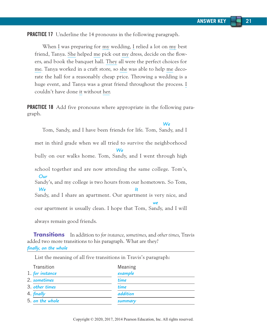**PRACTICE 17** Underline the 14 pronouns in the following paragraph.

When I was preparing for my wedding, I relied a lot on my best friend, Tanya. She helped me pick out my dress, decide on the flowers, and book the banquet hall. They all were the perfect choices for me. Tanya worked in a craft store, so she was able to help me decorate the hall for a reasonably cheap price. Throwing a wedding is a huge event, and Tanya was a great friend throughout the process. I couldn't have done it without her.

**PRACTICE 18** Add five pronouns where appropriate in the following paragraph.

*We*

Tom, Sandy, and I have been friends for life. Tom, Sandy, and I met in third grade when we all tried to survive the neighborhood bully on our walks home. Tom, Sandy, and I went through high school together and are now attending the same college. Tom's, Sandy's, and my college is two hours from our hometown. So Tom, Sandy, and I share an apartment. Our apartment is very nice, and our apartment is usually clean. I hope that Tom, Sandy, and I will *We Our We It we*

always remain good friends.

**Transitions** In addition to *for instance, sometimes,* and *other times,* Travis added two more transitions to his paragraph. What are they? *finally, on the whole*

List the meaning of all five transitions in Travis's paragraph:

| Transition      | Meaning         |  |
|-----------------|-----------------|--|
| 1. for instance | example         |  |
| 2. sometimes    | time            |  |
| 3. other times  | time            |  |
| 4. finally      | <i>addition</i> |  |
| 5. on the whole | summary         |  |
|                 |                 |  |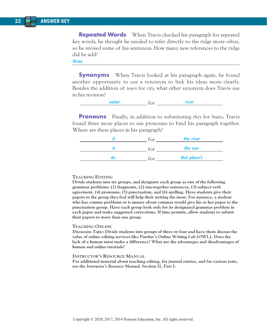**Repeated Words** When Travis checked his paragraph for repeated key words, he thought he needed to refer directly to the ridge more often, so he revised some of his sentences. How many new references to the ridge did he add?

## *three*

**Synonyms** When Travis looked at his paragraph again, he found another opportunity to use a synonym to link his ideas more clearly. Besides the addition of *town* for *city,* what other synonym does Travis use in his revision?

 *water* for *river* 

**Pronouns** Finally, in addition to substituting *they* for *boats,* Travis found three more places to use pronouns to bind his paragraph together. Where are these places in his paragraph?

|     | tor | the river    |
|-----|-----|--------------|
|     | ⊦nr | the sun      |
| ıts | m   | this place's |

#### **Teaching Editing**

**Divide students into six groups, and designate each group as one of the following grammar problems: (1) fragments, (2) run-together sentences, (3) subject-verb agreement, (4) pronouns, (5) punctuation, and (6) spelling. Have students give their papers to the group they feel will help their writing the most. For instance, a student who has comma problems or is unsure about commas would give his or her paper to the punctuation group. Have each group look only for its designated grammar problem in each paper and make suggested corrections. If time permits, allow students to submit their papers to more than one group.**

#### **Teaching Online**

*Discussion Topic***: Divide students into groups of three or four and have them discuss the value of online editing services like Purdue's Online Writing Lab (OWL). Does the lack of a human tutor make a difference? What are the advantages and disadvantages of human and online tutorials?**

#### **Instructor's Resource Manual**

**For additional material about teaching editing, for journal entries, and for various tests, see the** *Instructor's Resource Manual,* **Section II, Part I.**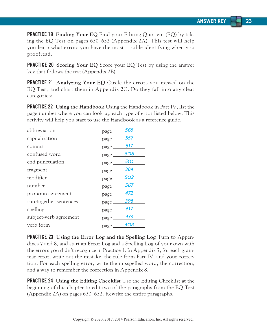PRACTICE 19 **Finding Your EQ** Find your Editing Quotient (EQ) by taking the EQ Test on pages 630–632 (Appendix 2A). This test will help you learn what errors you have the most trouble identifying when you proofread.

PRACTICE 20 **Scoring Your EQ** Score your EQ Test by using the answer key that follows the test (Appendix 2B).

PRACTICE 21 **Analyzing Your EQ** Circle the errors you missed on the EQ Test, and chart them in Appendix 2C. Do they fall into any clear categories?

PRACTICE 22 **Using the Handbook** Using the Handbook in Part IV, list the page number where you can look up each type of error listed below. This activity will help you start to use the Handbook as a reference guide.

| abbreviation           | page  | 565        |
|------------------------|-------|------------|
| capitalization         | page_ | 557        |
| comma                  | page. | 517        |
| confused word          | page_ | 606        |
| end punctuation        | page. | <b>510</b> |
| fragment               | page_ | 384        |
| modifier               | page. | 502        |
| number                 | page. | 567        |
| pronoun agreement      | page. | 472        |
| run-together sentences | page. | 398        |
| spelling               | page. | 617        |
| subject-verb agreement | page  | 433        |
| verb form              | page  | 408        |
|                        |       |            |

PRACTICE 23 **Using the Error Log and the Spelling Log** Turn to Appendixes 7 and 8, and start an Error Log and a Spelling Log of your own with the errors you didn't recognize in Practice 1. In Appendix 7, for each grammar error, write out the mistake, the rule from Part IV, and your correction. For each spelling error, write the misspelled word, the correction, and a way to remember the correction in Appendix 8.

PRACTICE 24 **Using the Editing Checklist** Use the Editing Checklist at the beginning of this chapter to edit two of the paragraphs from the EQ Test (Appendix 2A) on pages 630–632. Rewrite the entire paragraphs.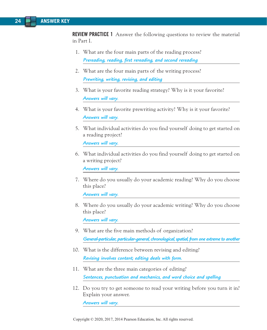**REVIEW PRACTICE 1** Answer the following questions to review the material in Part I.

- 1. What are the four main parts of the reading process? *Prereading, reading, first rereading, and second rereading*
- 2. What are the four main parts of the writing process? *Prewriting, writing, revising, and editing*
- 3. What is your favorite reading strategy? Why is it your favorite? *Answers will vary.*
- 4. What is your favorite prewriting activity? Why is it your favorite? *Answers will vary.*
- 5. What individual activities do you find yourself doing to get started on a reading project?

*Answers will vary.*

- 6. What individual activities do you find yourself doing to get started on a writing project? *Answers will vary.*
- 7. Where do you usually do your academic reading? Why do you choose this place?

*Answers will vary.*

8. Where do you usually do your academic writing? Why do you choose this place?

*Answers will vary.*

- 9. What are the five main methods of organization? *General-particular, particular-general, chronological, spatial, from one extreme to another*
- 10. What is the difference between revising and editing? *Revising involves content; editing deals with form.*
- 11. What are the three main categories of editing? *Sentences, punctuation and mechanics, and word choice and spelling*
- 12. Do you try to get someone to read your writing before you turn it in? Explain your answer.

*Answers will vary.*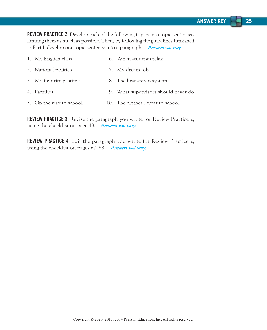REVIEW PRACTICE 2 Develop each of the following topics into topic sentences, limiting them as much as possible. Then, by following the guidelines furnished in Part I, develop one topic sentence into a paragraph. *Answers will vary.*

| 1. My English class     | 6. When students relax              |
|-------------------------|-------------------------------------|
| 2. National politics    | 7. My dream job                     |
| 3. My favorite pastime  | 8. The best stereo system           |
| 4. Families             | 9. What supervisors should never do |
| 5. On the way to school | 10. The clothes I wear to school    |

REVIEW PRACTICE 3 Revise the paragraph you wrote for Review Practice 2, using the checklist on page 48. *Answers will vary.*

REVIEW PRACTICE 4 Edit the paragraph you wrote for Review Practice 2, using the checklist on pages 67–68. *Answers will vary.*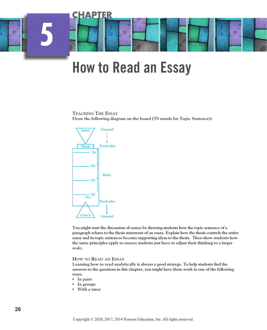

## How to Read an Essay

**Teaching The Essay Draw the following diagram on the board (TS stands for Topic Sentence):**



**You might start the discussion of essays by showing students how the topic sentence of a paragraph relates to the thesis statement of an essay. Explain how the thesis controls the entire essay and its topic sentences become supporting ideas to the thesis. Then show students how the same principles apply to essays; students just have to adjust their thinking to a larger scale.**

## **How to Read an Essay**

**Learning how to read analytically is always a good strategy. To help students find the answers to the questions in this chapter, you might have them work in one of the following ways.**

- **• In pairs**
- **• In groups**
- **• With a tutor**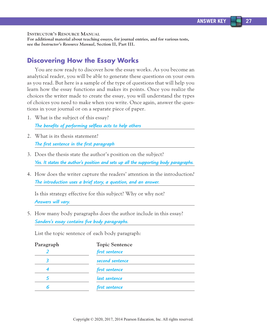**Instructor's Resource Manual**

**For additional material about teaching essays, for journal entries, and for various tests, see the** *Instructor's Resource Manual***, Section II, Part III.**

## **Discovering How the Essay Works**

You are now ready to discover how the essay works. As you become an analytical reader, you will be able to generate these questions on your own as you read. But here is a sample of the type of questions that will help you learn how the essay functions and makes its points. Once you realize the choices the writer made to create the essay, you will understand the types of choices you need to make when you write. Once again, answer the questions in your journal or on a separate piece of paper.

- 1. What is the subject of this essay? *The benefits of performing selfless acts to help others*
- 2. What is its thesis statement? *The first sentence in the first paragraph*
- 3. Does the thesis state the author's position on the subject? *Yes. It states the author's position and sets up all the supporting body paragraphs.*
- 4. How does the writer capture the readers' attention in the introduction? *The introduction uses a brief story, a question, and an answer.*

Is this strategy effective for this subject? Why or why not? *Answers will vary.*

5. How many body paragraphs does the author include in this essay? *Sanders's essay contains five body paragraphs.*

List the topic sentence of each body paragraph:

| Paragraph | <b>Topic Sentence</b> |  |
|-----------|-----------------------|--|
|           | first sentence        |  |
|           | second sentence       |  |
|           | first sentence        |  |
|           | last sentence         |  |
| 6         | first sentence        |  |